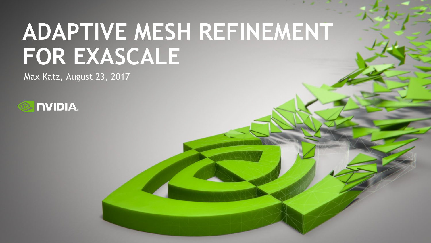# **ADAPTIVE MESH REFINEMENT FOR EXASCALE**

Max Katz, August 23, 2017

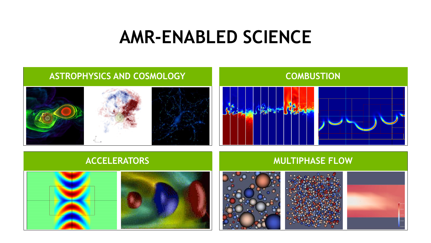#### **AMR-ENABLED SCIENCE**

#### **ASTROPHYSICS AND COSMOLOGY**

#### **COMBUSTION**









#### **ACCELERATORS MULTIPHASE FLOW**







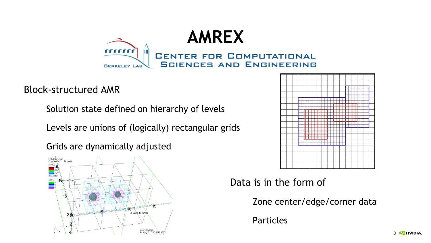

Block-structured AMR

Solution state defined on hierarchy of levels

Levels are unions of (logically) rectangular grids

Grids are dynamically adjusted





#### Data is in the form of

Zone center/edge/corner data

Particles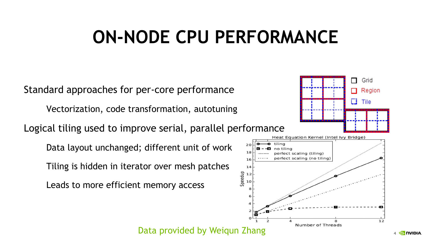## **ON-NODE CPU PERFORMANCE**

Standard approaches for per-core performance

Vectorization, code transformation, autotuning

Logical tiling used to improve serial, parallel performance

Data layout unchanged; different unit of work

Tiling is hidden in iterator over mesh patches

Leads to more efficient memory access





Data provided by Weiqun Zhang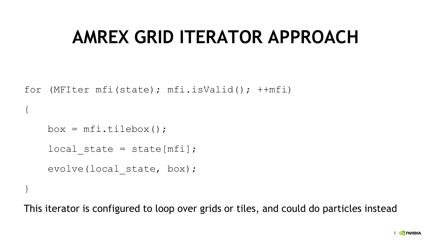#### **AMREX GRID ITERATOR APPROACH**

```
for (MFIter mfi(state); mfi.isValid(); ++mfi)
```

```
box = mfi.tildebox ();
local state = state[mfi];evolve(local state, box);
```
{

}

This iterator is configured to loop over grids or tiles, and could do particles instead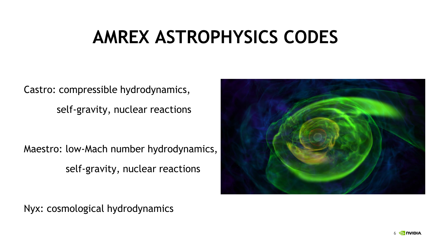## **AMREX ASTROPHYSICS CODES**

Castro: compressible hydrodynamics, self-gravity, nuclear reactions

Maestro: low-Mach number hydrodynamics, self-gravity, nuclear reactions

Nyx: cosmological hydrodynamics

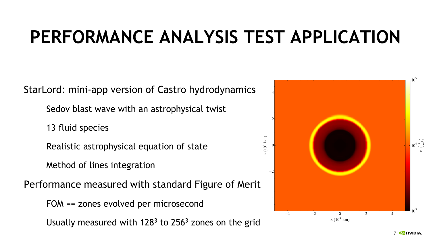## **PERFORMANCE ANALYSIS TEST APPLICATION**

StarLord: mini-app version of Castro hydrodynamics

Sedov blast wave with an astrophysical twist

13 fluid species

Realistic astrophysical equation of state

Method of lines integration

Performance measured with standard Figure of Merit

FOM == zones evolved per microsecond

Usually measured with  $128<sup>3</sup>$  to 256<sup>3</sup> zones on the grid

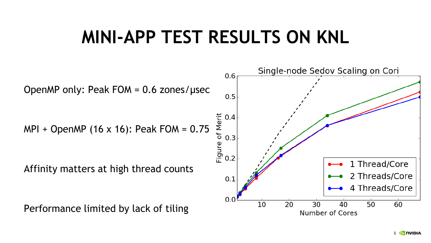#### **MINI-APP TEST RESULTS ON KNL**



8 מוטח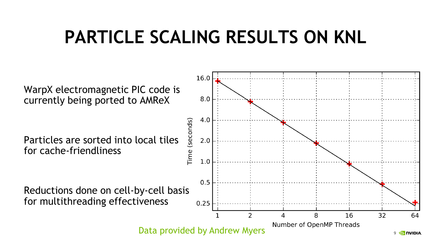### **PARTICLE SCALING RESULTS ON KNL**

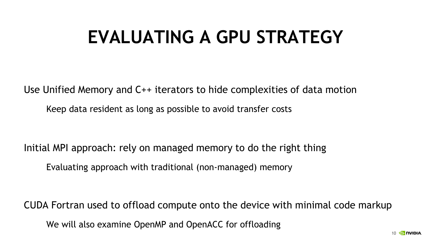## **EVALUATING A GPU STRATEGY**

Use Unified Memory and C++ iterators to hide complexities of data motion Keep data resident as long as possible to avoid transfer costs

Initial MPI approach: rely on managed memory to do the right thing

Evaluating approach with traditional (non-managed) memory

CUDA Fortran used to offload compute onto the device with minimal code markup We will also examine OpenMP and OpenACC for offloading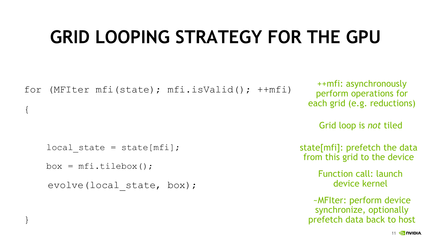## **GRID LOOPING STRATEGY FOR THE GPU**

```
for (MFIter mfi(state); mfi.isValid(); ++mfi) 
{
    local state = state[mfi];box = mfi.tillebox();evolve(local state, box);
                                                                 ++mfi: asynchronously 
                                                                 perform operations for 
                                                               each grid (e.g. reductions)
                                                              state[mfi]: prefetch the data 
                                                              from this grid to the device
                                                                 ~MFIter: perform device 
                                                                 synchronize, optionally 
                                                                  Function call: launch 
                                                                     device kernel
                                                                  Grid loop is not tiled
```
}

prefetch data back to host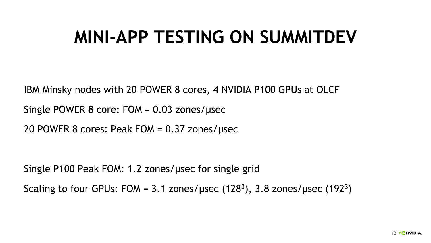## **MINI-APP TESTING ON SUMMITDEV**

IBM Minsky nodes with 20 POWER 8 cores, 4 NVIDIA P100 GPUs at OLCF

Single POWER 8 core: FOM = 0.03 zones/μsec

20 POWER 8 cores: Peak FOM = 0.37 zones/μsec

Single P100 Peak FOM: 1.2 zones/μsec for single grid Scaling to four GPUs: FOM = 3.1 zones/usec  $(128<sup>3</sup>)$ , 3.8 zones/usec  $(192<sup>3</sup>)$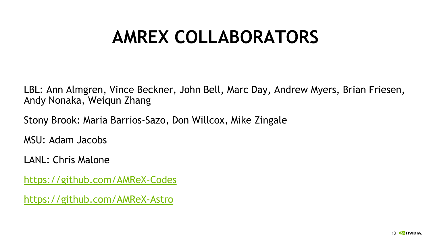#### **AMREX COLLABORATORS**

LBL: Ann Almgren, Vince Beckner, John Bell, Marc Day, Andrew Myers, Brian Friesen, Andy Nonaka, Weiqun Zhang

Stony Brook: Maria Barrios-Sazo, Don Willcox, Mike Zingale

MSU: Adam Jacobs

LANL: Chris Malone

<https://github.com/AMReX-Codes>

<https://github.com/AMReX-Astro>